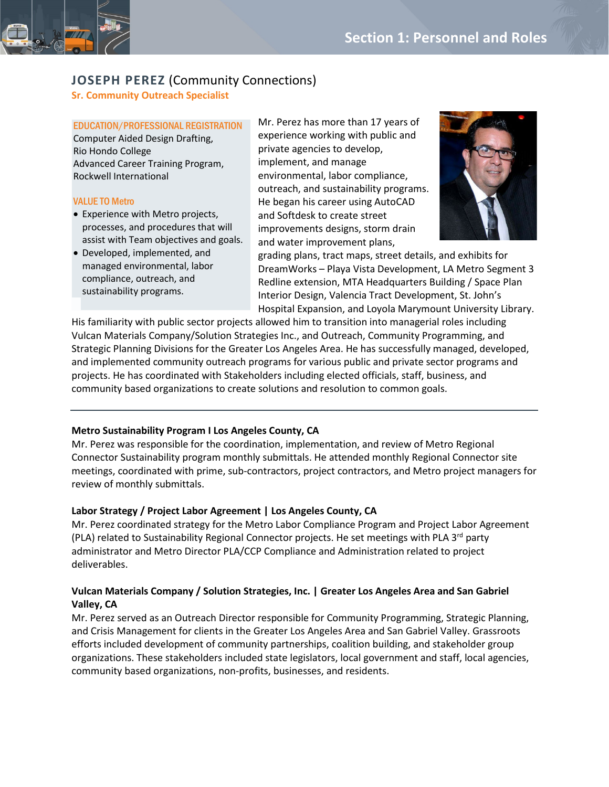

### **Sr. Community Outreach Specialist**

# EDUCATION/PROFESSIONAL REGISTRATION

Computer Aided Design Drafting, Rio Hondo College Advanced Career Training Program, Rockwell International

### VALUE TO Metro

- Experience with Metro projects, processes, and procedures that will assist with Team objectives and goals.
- Developed, implemented, and managed environmental, labor compliance, outreach, and sustainability programs.

Mr. Perez has more than 17 years of experience working with public and private agencies to develop, implement, and manage environmental, labor compliance, outreach, and sustainability programs. He began his career using AutoCAD and Softdesk to create street improvements designs, storm drain and water improvement plans,



grading plans, tract maps, street details, and exhibits for DreamWorks – Playa Vista Development, LA Metro Segment 3 Redline extension, MTA Headquarters Building / Space Plan Interior Design, Valencia Tract Development, St. John's Hospital Expansion, and Loyola Marymount University Library.

His familiarity with public sector projects allowed him to transition into managerial roles including Vulcan Materials Company/Solution Strategies Inc., and Outreach, Community Programming, and Strategic Planning Divisions for the Greater Los Angeles Area. He has successfully managed, developed, and implemented community outreach programs for various public and private sector programs and projects. He has coordinated with Stakeholders including elected officials, staff, business, and community based organizations to create solutions and resolution to common goals.

### **Metro Sustainability Program I Los Angeles County, CA**

Mr. Perez was responsible for the coordination, implementation, and review of Metro Regional Connector Sustainability program monthly submittals. He attended monthly Regional Connector site meetings, coordinated with prime, sub-contractors, project contractors, and Metro project managers for review of monthly submittals.

### **Labor Strategy / Project Labor Agreement | Los Angeles County, CA**

Mr. Perez coordinated strategy for the Metro Labor Compliance Program and Project Labor Agreement (PLA) related to Sustainability Regional Connector projects. He set meetings with PLA  $3^{rd}$  party administrator and Metro Director PLA/CCP Compliance and Administration related to project deliverables.

## **Vulcan Materials Company / Solution Strategies, Inc. | Greater Los Angeles Area and San Gabriel Valley, CA**

Mr. Perez served as an Outreach Director responsible for Community Programming, Strategic Planning, and Crisis Management for clients in the Greater Los Angeles Area and San Gabriel Valley. Grassroots efforts included development of community partnerships, coalition building, and stakeholder group organizations. These stakeholders included state legislators, local government and staff, local agencies, community based organizations, non-profits, businesses, and residents.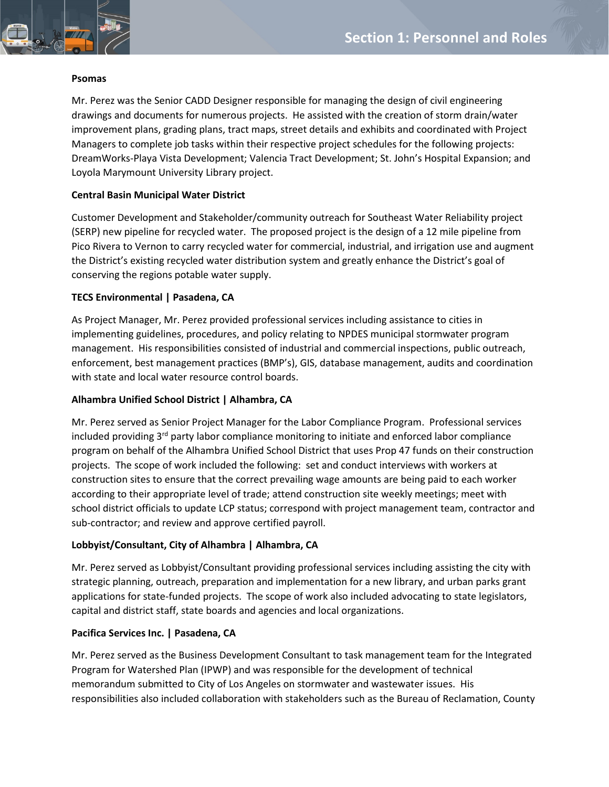

#### **Psomas**

Mr. Perez was the Senior CADD Designer responsible for managing the design of civil engineering drawings and documents for numerous projects. He assisted with the creation of storm drain/water improvement plans, grading plans, tract maps, street details and exhibits and coordinated with Project Managers to complete job tasks within their respective project schedules for the following projects: DreamWorks-Playa Vista Development; Valencia Tract Development; St. John's Hospital Expansion; and Loyola Marymount University Library project.

### **Central Basin Municipal Water District**

Customer Development and Stakeholder/community outreach for Southeast Water Reliability project (SERP) new pipeline for recycled water. The proposed project is the design of a 12 mile pipeline from Pico Rivera to Vernon to carry recycled water for commercial, industrial, and irrigation use and augment the District's existing recycled water distribution system and greatly enhance the District's goal of conserving the regions potable water supply.

### **TECS Environmental | Pasadena, CA**

As Project Manager, Mr. Perez provided professional services including assistance to cities in implementing guidelines, procedures, and policy relating to NPDES municipal stormwater program management. His responsibilities consisted of industrial and commercial inspections, public outreach, enforcement, best management practices (BMP's), GIS, database management, audits and coordination with state and local water resource control boards.

### **Alhambra Unified School District | Alhambra, CA**

Mr. Perez served as Senior Project Manager for the Labor Compliance Program. Professional services included providing  $3<sup>rd</sup>$  party labor compliance monitoring to initiate and enforced labor compliance program on behalf of the Alhambra Unified School District that uses Prop 47 funds on their construction projects. The scope of work included the following: set and conduct interviews with workers at construction sites to ensure that the correct prevailing wage amounts are being paid to each worker according to their appropriate level of trade; attend construction site weekly meetings; meet with school district officials to update LCP status; correspond with project management team, contractor and sub-contractor; and review and approve certified payroll.

### **Lobbyist/Consultant, City of Alhambra | Alhambra, CA**

Mr. Perez served as Lobbyist/Consultant providing professional services including assisting the city with strategic planning, outreach, preparation and implementation for a new library, and urban parks grant applications for state-funded projects. The scope of work also included advocating to state legislators, capital and district staff, state boards and agencies and local organizations.

#### **Pacifica Services Inc. | Pasadena, CA**

Mr. Perez served as the Business Development Consultant to task management team for the Integrated Program for Watershed Plan (IPWP) and was responsible for the development of technical memorandum submitted to City of Los Angeles on stormwater and wastewater issues. His responsibilities also included collaboration with stakeholders such as the Bureau of Reclamation, County